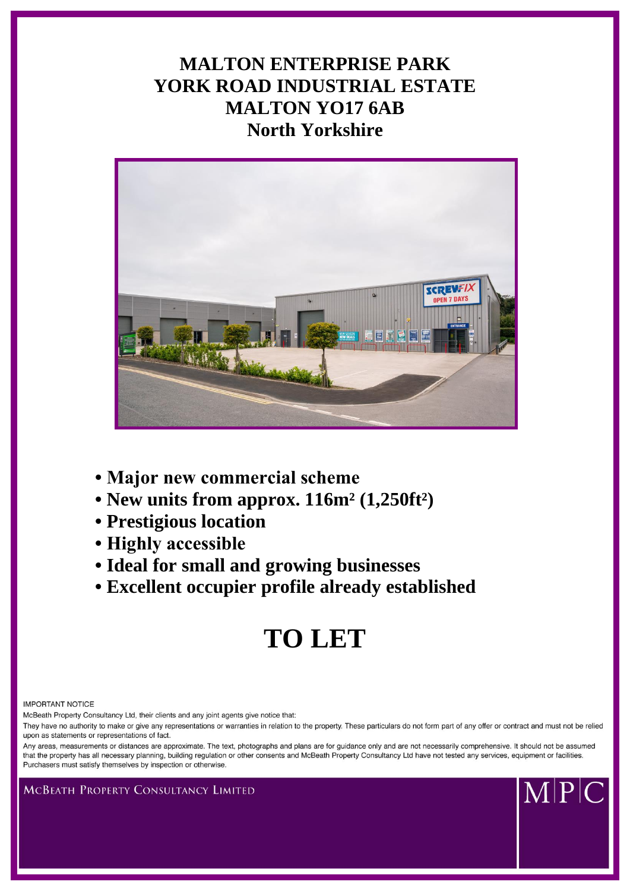# **MALTON ENTERPRISE PARK YORK ROAD INDUSTRIAL ESTATE MALTON YO17 6AB North Yorkshire**



- **Major new commercial scheme**
- **New units from approx. 116m² (1,250ft²)**
- **Prestigious location**
- **Highly accessible**
- **Ideal for small and growing businesses**
- **Excellent occupier profile already established**

# **TO LET**

**IMPORTANT NOTICE** 

McBeath Property Consultancy Ltd, their clients and any joint agents give notice that:

They have no authority to make or give any representations or warranties in relation to the property. These particulars do not form part of any offer or contract and must not be relied upon as statements or representations of fact.

Any areas, measurements or distances are approximate. The text, photographs and plans are for guidance only and are not necessarily comprehensive. It should not be assumed that the property has all necessary planning, building regulation or other consents and McBeath Property Consultancy Ltd have not tested any services, equipment or facilities. Purchasers must satisfy themselves by inspection or otherwise



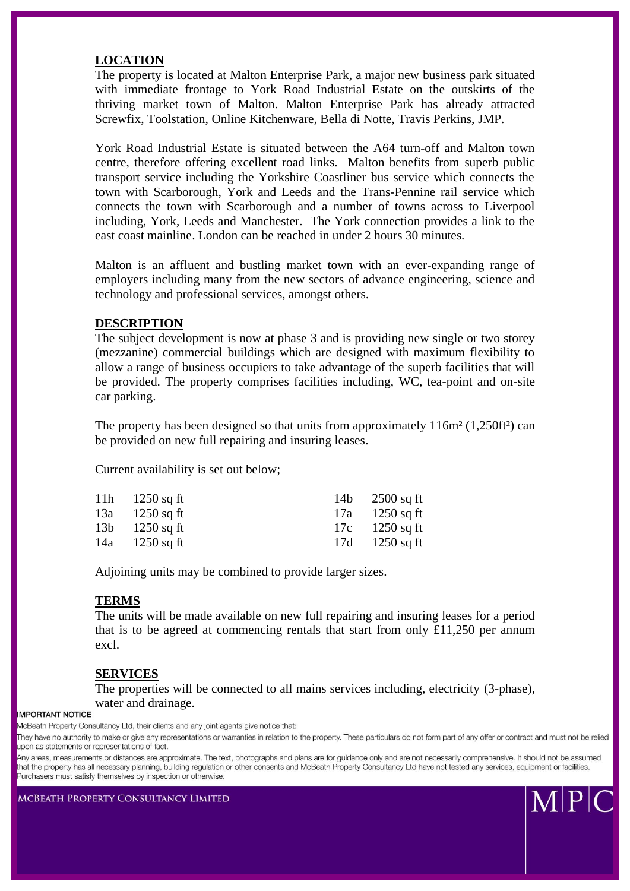## **LOCATION**

The property is located at Malton Enterprise Park, a major new business park situated with immediate frontage to York Road Industrial Estate on the outskirts of the thriving market town of Malton. Malton Enterprise Park has already attracted Screwfix, Toolstation, Online Kitchenware, Bella di Notte, Travis Perkins, JMP.

York Road Industrial Estate is situated between the A64 turn-off and Malton town centre, therefore offering excellent road links. Malton benefits from superb public transport service including the Yorkshire Coastliner bus service which connects the town with Scarborough, York and Leeds and the Trans-Pennine rail service which connects the town with Scarborough and a number of towns across to Liverpool including, York, Leeds and Manchester. The York connection provides a link to the east coast mainline. London can be reached in under 2 hours 30 minutes.

Malton is an affluent and bustling market town with an ever-expanding range of employers including many from the new sectors of advance engineering, science and technology and professional services, amongst others.

#### **DESCRIPTION**

The subject development is now at phase 3 and is providing new single or two storey (mezzanine) commercial buildings which are designed with maximum flexibility to allow a range of business occupiers to take advantage of the superb facilities that will be provided. The property comprises facilities including, WC, tea-point and on-site car parking.

The property has been designed so that units from approximately  $116m^2$  (1,250ft<sup>2</sup>) can be provided on new full repairing and insuring leases.

Current availability is set out below;

| 11h $1250$ sq ft | 14b $2500$ sq ft |
|------------------|------------------|
| 13a 1250 sq ft   | 17a 1250 sq ft   |
| $13b$ 1250 sq ft | 17c 1250 sq ft   |
| 14a 1250 sq ft   | 17d 1250 sq ft   |

Adjoining units may be combined to provide larger sizes.

#### **TERMS**

The units will be made available on new full repairing and insuring leases for a period that is to be agreed at commencing rentals that start from only  $£11,250$  per annum excl.

### **SERVICES**

The properties will be connected to all mains services including, electricity (3-phase), water and drainage.

**IMPORTANT NOTICE** 

 $\| \mathbf{P} \|$ 

**MCBEATH PROPERTY CONSULTANCY LIMITED** 

McBeath Property Consultancy Ltd, their clients and any joint agents give notice that:

They have no authority to make or give any representations or warranties in relation to the property. These particulars do not form part of any offer or contract and must not be relied upon as statements or representations of fact.

Any areas, measurements or distances are approximate. The text, photographs and plans are for guidance only and are not necessarily comprehensive. It should not be assumed that the property has all necessary planning, building regulation or other consents and McBeath Property Consultancy Ltd have not tested any services, equipment or facilities. Purchasers must satisfy themselves by inspection or otherwise.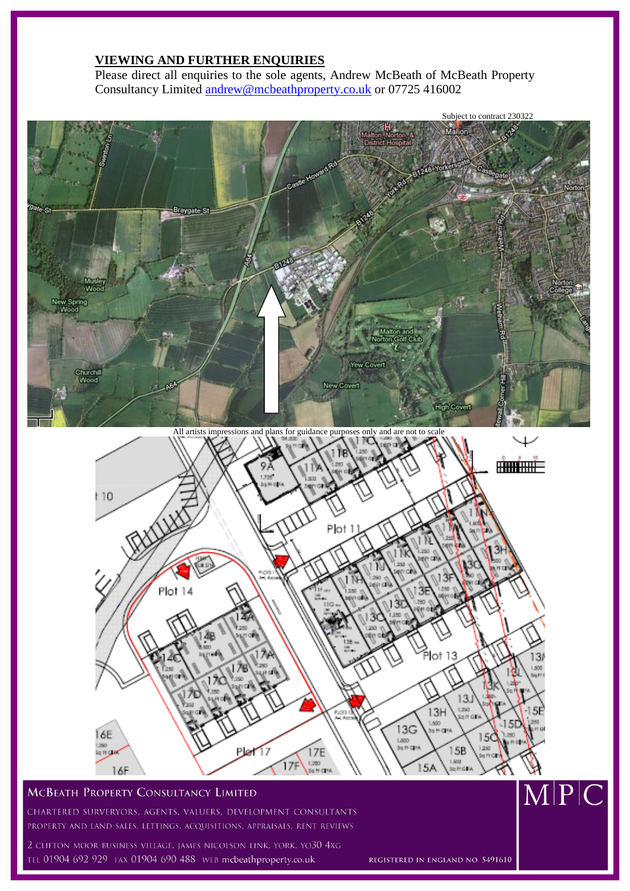# **VIEWING AND FURTHER ENQUIRIES**

Please direct all enquiries to the sole agents, Andrew McBeath of McBeath Property Consultancy Limited [andrew@mcbeathproperty.co.uk](mailto:andrew@mcbeathproperty.co.uk) or 07725 416002



# **MCBEATH PROPERTY CONSULTANCY LIMITED**

CHARTERED SURVERYORS, AGENTS, VALUERS, DEVELOPMENT CONSULTANTS PROPERTY AND LAND SALES, LETTINGS, ACQUISITIONS, APPRAISALS, RENT REVIEWS

2 CLIFTON MOOR BUSINESS VILLAGE, JAMES NICOLSON LINK, YORK, YO30 4XG TEL 01904 692 929 FAX 01904 690 488 WEB mcbeathproperty.co.uk